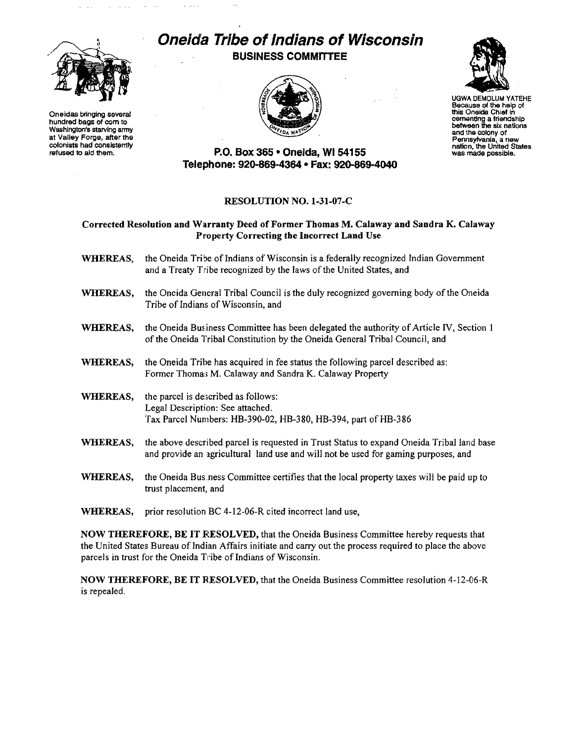

Oneidas bringing several hundred bags of com to Washington's starving army at Valley Forge, atter the colonists had consistently refused to aid them.

# *Oneida Tribe of Indians of Wisconsin*  BUSINESS COMMITTEE





UGWA DEMOLUM YATEHE Because of the help of this Oneida Chief in cementing a friendship between the six nations and the colony of Pennsyfvania, <sup>a</sup>new nation, the United States was made possible.

# P.O. Box 365· Oneida, WI 54155 Telephone: 920-869-4364 • Fax: 920-869-4040

## RESOLUTION NO. 1-31-07-C

## Corrected Resolution and Warranty Deed of Former Thomas M. Calaway and Sandra K. Calaway Property Correcting the Incorrect Land Use

- WHEREAS, the Oneida Tribe of Indians of Wisconsin is a federally recognized Indian Government and a Treaty Tribe recognized by the laws of the United States, and
- WHEREAS, the Oneida General Tribal Council is the duly recognized governing body of the Oneida Tribe of Indians of Wisconsin, and
- WHEREAS, the Oneida Business Committee has been delegated the authority of Article IV, Section 1 of the Oneida Tribal Constitution by the Oneida General Tribal Council, and
- WHEREAS, the Oneida Tribe has acquired in fee status the following parcel described as: Former Thoma:; M. Calaway and Sandra K. Calaway Property
- WHEREAS, the parcel is described as follows: Legal Description: See attached. Tax Parcel Numbers: HB-390-02, HB-380, HB-394, part of HB-386
- WHEREAS, the above described parcel is requested in Trust Status to expand Oneida Tribal land base and provide an agricultural land use and will not be used for gaming purposes, and
- WHEREAS, the Oneida Bus.ness Committee certifies that the local property taxes will be paid up to trust placement, and
- WHEREAS, prior resolution BC 4-12-06-R cited incorrect land use,

NOW THEREFORE, BE IT RESOLVED, that the Oneida Business Committee hereby requests that the United States Bureau of Indian Affairs initiate and carry out the process required to place the above parcels in trust for the Oneida Tribe of Indians of Wisconsin.

NOW THEREFORE, BE IT RESOLVED, that the Oneida Business Committee resolution 4-12-06-R is repealed.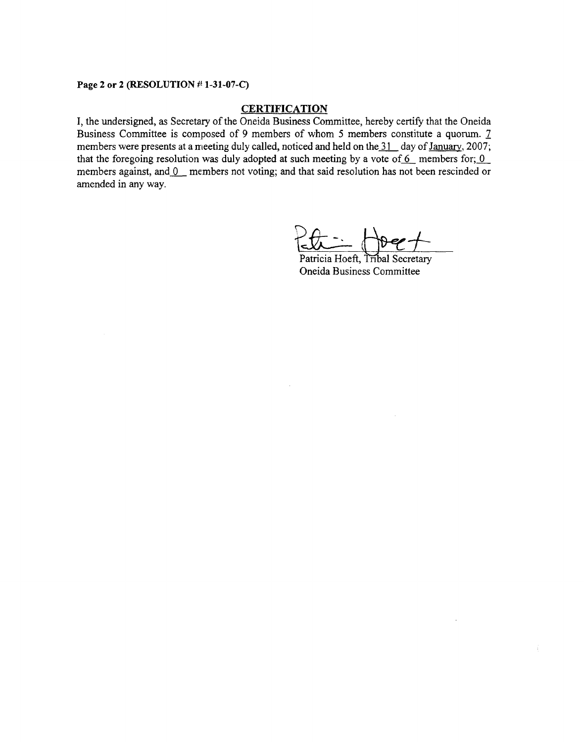### Page 2 or 2 (RESOLUTION # 1-31-07-C)

### **CERTIFICATION**

**I,** the undersigned, as Secretary of the Oneida Business Committee, hereby certify that the Oneida Business Committee is composed of 9 members of whom 5 members constitute a quorum. 7 members were presents at a meeting duly called, noticed and held on the  $\frac{31}{1}$  day of January, 2007; that the foregoing resolution was duly adopted at such meeting by a vote of  $6$  members for;  $0$ members against, and  $0$  members not voting; and that said resolution has not been rescinded or amended in any way.

 $R_{\star} = H_{\star}$ 

Patricia Hoeft, Tribal Secretary Oneida Business Committee